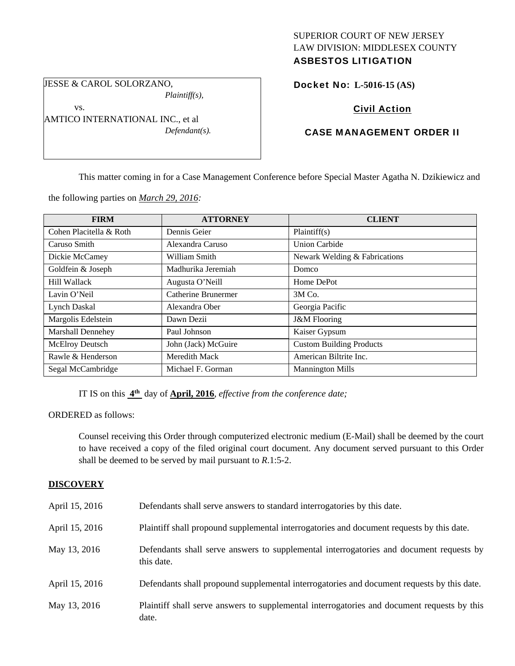# SUPERIOR COURT OF NEW JERSEY LAW DIVISION: MIDDLESEX COUNTY ASBESTOS LITIGATION

JESSE & CAROL SOLORZANO, *Plaintiff(s),* 

vs.

AMTICO INTERNATIONAL INC., et al *Defendant(s).* 

# Docket No: **L-5016-15 (AS)**

# Civil Action

# CASE MANAGEMENT ORDER II

This matter coming in for a Case Management Conference before Special Master Agatha N. Dzikiewicz and

the following parties on *March 29, 2016:* 

| <b>FIRM</b>              | <b>ATTORNEY</b>            | <b>CLIENT</b>                   |
|--------------------------|----------------------------|---------------------------------|
| Cohen Placitella & Roth  | Dennis Geier               | Plaintiff(s)                    |
| Caruso Smith             | Alexandra Caruso           | <b>Union Carbide</b>            |
| Dickie McCamey           | William Smith              | Newark Welding & Fabrications   |
| Goldfein & Joseph        | Madhurika Jeremiah         | Domco                           |
| <b>Hill Wallack</b>      | Augusta O'Neill            | Home DePot                      |
| Lavin O'Neil             | <b>Catherine Brunermer</b> | 3M Co.                          |
| <b>Lynch Daskal</b>      | Alexandra Ober             | Georgia Pacific                 |
| Margolis Edelstein       | Dawn Dezii                 | <b>J&amp;M</b> Flooring         |
| <b>Marshall Dennehey</b> | Paul Johnson               | Kaiser Gypsum                   |
| McElroy Deutsch          | John (Jack) McGuire        | <b>Custom Building Products</b> |
| Rawle & Henderson        | Meredith Mack              | American Biltrite Inc.          |
| Segal McCambridge        | Michael F. Gorman          | <b>Mannington Mills</b>         |

IT IS on this **4th** day of **April, 2016**, *effective from the conference date;*

## ORDERED as follows:

Counsel receiving this Order through computerized electronic medium (E-Mail) shall be deemed by the court to have received a copy of the filed original court document. Any document served pursuant to this Order shall be deemed to be served by mail pursuant to *R*.1:5-2.

## **DISCOVERY**

| April 15, 2016 | Defendants shall serve answers to standard interrogatories by this date.                              |
|----------------|-------------------------------------------------------------------------------------------------------|
| April 15, 2016 | Plaintiff shall propound supplemental interrogatories and document requests by this date.             |
| May 13, 2016   | Defendants shall serve answers to supplemental interrogatories and document requests by<br>this date. |
| April 15, 2016 | Defendants shall propound supplemental interrogatories and document requests by this date.            |
| May 13, 2016   | Plaintiff shall serve answers to supplemental interrogatories and document requests by this<br>date.  |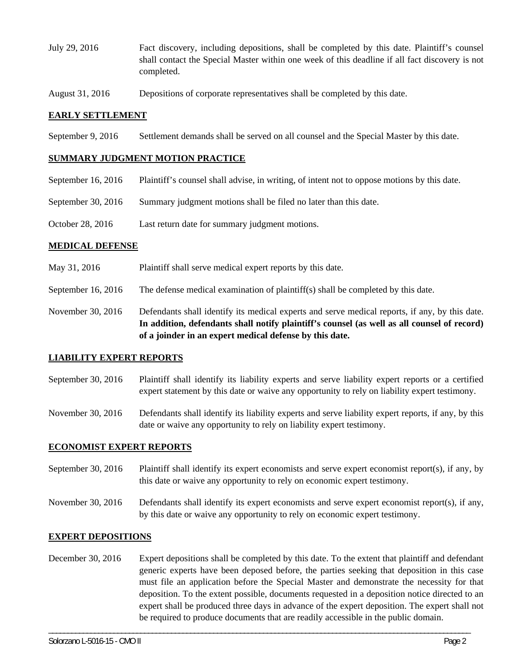- July 29, 2016 Fact discovery, including depositions, shall be completed by this date. Plaintiff's counsel shall contact the Special Master within one week of this deadline if all fact discovery is not completed.
- August 31, 2016 Depositions of corporate representatives shall be completed by this date.

## **EARLY SETTLEMENT**

September 9, 2016 Settlement demands shall be served on all counsel and the Special Master by this date.

## **SUMMARY JUDGMENT MOTION PRACTICE**

- September 16, 2016 Plaintiff's counsel shall advise, in writing, of intent not to oppose motions by this date.
- September 30, 2016 Summary judgment motions shall be filed no later than this date.
- October 28, 2016 Last return date for summary judgment motions.

## **MEDICAL DEFENSE**

- May 31, 2016 Plaintiff shall serve medical expert reports by this date.
- September 16, 2016 The defense medical examination of plaintiff(s) shall be completed by this date.

November 30, 2016 Defendants shall identify its medical experts and serve medical reports, if any, by this date. **In addition, defendants shall notify plaintiff's counsel (as well as all counsel of record) of a joinder in an expert medical defense by this date.** 

## **LIABILITY EXPERT REPORTS**

- September 30, 2016 Plaintiff shall identify its liability experts and serve liability expert reports or a certified expert statement by this date or waive any opportunity to rely on liability expert testimony.
- November 30, 2016 Defendants shall identify its liability experts and serve liability expert reports, if any, by this date or waive any opportunity to rely on liability expert testimony.

# **ECONOMIST EXPERT REPORTS**

- September 30, 2016 Plaintiff shall identify its expert economists and serve expert economist report(s), if any, by this date or waive any opportunity to rely on economic expert testimony.
- November 30, 2016 Defendants shall identify its expert economists and serve expert economist report(s), if any, by this date or waive any opportunity to rely on economic expert testimony.

# **EXPERT DEPOSITIONS**

December 30, 2016 Expert depositions shall be completed by this date. To the extent that plaintiff and defendant generic experts have been deposed before, the parties seeking that deposition in this case must file an application before the Special Master and demonstrate the necessity for that deposition. To the extent possible, documents requested in a deposition notice directed to an expert shall be produced three days in advance of the expert deposition. The expert shall not be required to produce documents that are readily accessible in the public domain.

\_\_\_\_\_\_\_\_\_\_\_\_\_\_\_\_\_\_\_\_\_\_\_\_\_\_\_\_\_\_\_\_\_\_\_\_\_\_\_\_\_\_\_\_\_\_\_\_\_\_\_\_\_\_\_\_\_\_\_\_\_\_\_\_\_\_\_\_\_\_\_\_\_\_\_\_\_\_\_\_\_\_\_\_\_\_\_\_\_\_\_\_\_\_\_\_\_\_\_\_\_\_\_\_\_\_\_\_\_\_